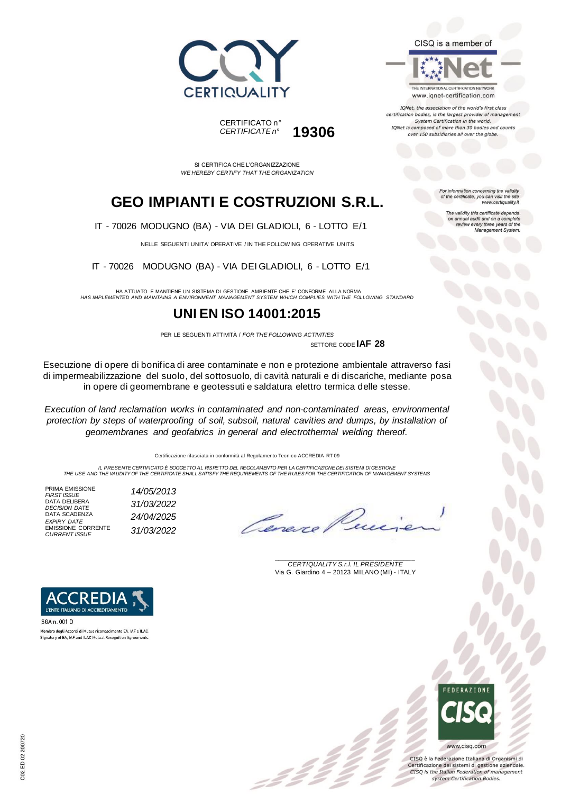





IQNet, the association of the world's first class certification bodies, is the largest provider of management System Certification in the world. IQNet is composed of more than 30 bodies and counts over 150 subsidiaries all over the globe.

For information concerning the validity<br>of the certificate, you can visit the site

The validity this certificate depends on annual audit and on a complete<br>review every three years of the<br>Management System.

www.certiquality.it

SI CERTIFICA CHE L'ORGANIZZAZIONE *WE HEREBY CERTIFY THAT THE ORGANIZATION*

CERTIFICATO n°

*CERTIFICATE n°* **19306**

## **GEO IMPIANTI E COSTRUZIONI S.R.L.**

IT - 70026 MODUGNO (BA) - VIA DEI GLADIOLI, 6 - LOTTO E/1

NELLE SEGUENTI UNITA' OPERATIVE / IN THE FOLLOWING OPERATIVE UNITS

IT - 70026 MODUGNO (BA) - VIA DEI GLADIOLI, 6 - LOTTO E/1

HA ATTUATO E MANTIENE UN SISTEMA DI GESTIONE AMBIENTE CHE E' CONFORME ALLA NORMA *HAS IMPLEMENTED AND MAINTAINS A ENVIRONMENT MANAGEMENT SYSTEM WHICH COMPLIES WITH THE FOLLOWING STANDARD*

### **UNI EN ISO 14001:2015**

PER LE SEGUENTI ATTIVITÀ / *FOR THE FOLLOWING ACTIVITIES* SETTORE CODE **IAF 28**

Esecuzione di opere di bonifica di aree contaminate e non e protezione ambientale attraverso fasi di impermeabilizzazione del suolo, del sottosuolo, di cavità naturali e di discariche, mediante posa in opere di geomembrane e geotessuti e saldatura elettro termica delle stesse.

*Execution of land reclamation works in contaminated and non-contaminated areas, environmental protection by steps of waterproofing of soil, subsoil, natural cavities and dumps, by installation of geomembranes and geofabrics in general and electrothermal welding thereof.*

Certificazione rilasciata in conformità al Regolamento Tecnico ACCREDIA RT 09

IL PRESENTE CERTIFICATO E SOGGETTO AL RISPETTO DEL REGOLAMENTO PER LA CERTIFICAZIONE DEI SISTEMI DI GESTIONE<br>THE USE AND THE VALIDITY OF THE CERTIFICATE SHALL SATISFY THE REQUIREMENTS OF THE RULES FOR THE CERTIFICATION OF

PRIMA EMISSIONE<br>FIRST ISSUE *FIRST ISSUE 14/05/2013* DATA DELIBERA *DECISION DATE 31/03/2022* DATA SCADENZA<br>*EXPIRY DATE EXPIRY DATE 24/04/2025* EMISSIONE CORRENTE *CURRENT ISSUE 31/03/2022*

\_\_\_\_\_\_\_\_\_\_\_\_\_\_\_\_\_\_\_\_\_\_\_\_\_\_\_\_\_\_\_\_\_\_\_\_\_\_\_ *CERTIQUALITY S.r.l. IL PRESIDENTE* Via G. Giardino 4 – 20123 MILANO (MI) - ITALY



Membro degli Accordi di Mutuo riconoscimento EA, IAF e ILAC. Signatory of EA, IAF and ILAC Mutual Recognition Agreements



CISO è la Federazione Italiana di Organismi di Certificazione dei sistemi di gestione aziendale. CISQ is the Italian Federation of management system Certification Bodies.